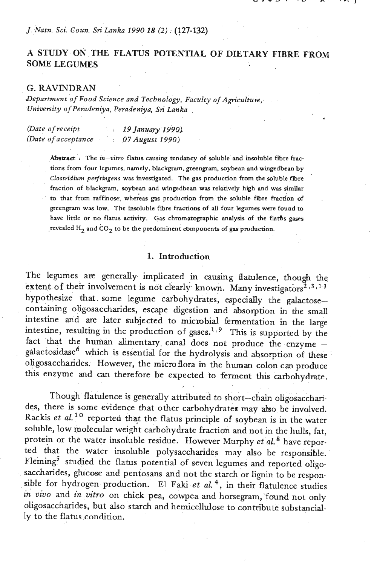*J. Natn. Sci. Goun. Sri Lanka 1990 18 (2)* : **(127-l32)** 

# **A STUDY ON THE FLATUS POTENTIAL OF DIETARY FIBRE FROM SOME LEGUMES**

#### *G.* **RAVINDRAN**

*Department of Food Science and Technology, Faculty* **of** *Agricultu~,~ University of Peradeniya, Peradeniya, Svi Lanka* .

| (Date of receipt     |  | 19 January 1990) |
|----------------------|--|------------------|
| (Date of acceptance) |  | 07 August 1990)  |

**Abstract** > **The in-vitro flatus causing tendancy of soluble and insoluble fibre fractions from four legumes, namely, blackgram, greengram, soybean and wingedbean by**  *Clostridium pevfringens* **was investigated. The gas production from the soluble fibre fraction of blackgram, soybean and wingedbean was relatively high and wss simihr**  to that from raffinose, whereas gas production from the soluble fibre fraction of **greengram was low. The insoluble fibre fractions of all four legumes were found to have little or no flatus activity. Gas chromatographic analysis of the flat& gases**  revealed  $H_2$  and  $CO_2$  to be the predominent components of gas production.

### 1. Introduction

The legumes are generally implicated in causing flatulence, though the extent of their involvement is not clearly known. Many investigators<sup> $2,3,13$ </sup> hypothesize that some legume carbohydrates, especially the galactosecontaining oligosaccharides, escape digestion and absorption in the small intestine and **are** later subjected to micmbid fermentation in **the** large intestine, resulting in the production of gases.<sup>1,9</sup> This is supported by the fact that the human alimentary canal does not produce the enzyme galactosidase<sup>6</sup> which is essential for the hydrolysis and absorption of these oligosaccharides. However, the microflora in the human colon can produce this enzyme and can therefore be expected to ferment this carbohydrate.

Though flatulence is generally attributed to short-chain oligosaccharides, there is some evidence that other carbohydrates may also be involved. Rackis *et al.*<sup>10</sup> reported that the flatus principle of soybean is in the water soluble, low molecular weight carbohydrate fraction and not in the hulls, fat, protein or the water insoluble residue. However Murphy *et aL8* have reported that the water insoluble polysaccharides may also be responsible. Fleming<sup>5</sup> studied the flatus potential of seven legumes and reported oligosaccharides, glucose and pentosans and not the starch or **lignin** to be responsible for hydrogen production. El **Faki** *et* **a!. 4,** in their flatulence studies in *vivo* and *in vitro* on chick pea, cowpea and horsegram, found not only oligosaccharides, but also starch and hemicellulose to contribute substancially to the flatus condition.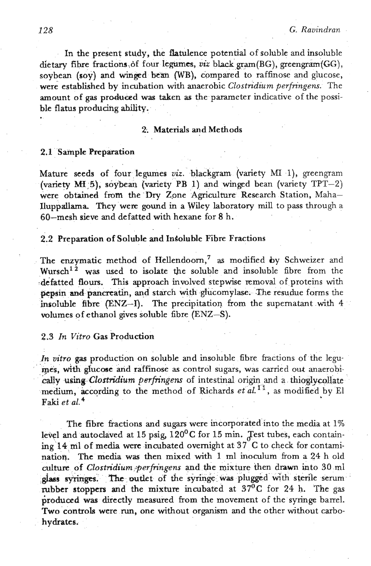In the present study, the flatulence potential of soluble and insoluble dietary fibre fractions of four legumes, *viz* black gram(BG), greengram(GG), soybean (soy) and winged bean (WB), compared to raffinose and glucose, were established by incubation with anaerobic *Clostridium perfringens*. The amount of gas produced **was** taken as the parameter indicative of the possible flatus producihg **ahility.** 

#### **2:** Materials **and** Methods

#### 2.1 Sample Preparation

Mature seeds of four legumes *viz.* blackgram (variety MI I), greengram (variety MH<sub>.</sub>5), soybean (variety PB 1) and winged bean (variety TPT-2) were obtained from the Dry Zone Agriculture- Research Station, Maha-Uuppallarna They wex gound in a Wiley laboratory **mill** to pass through a 60-mesh sieve and defatted with hexane for 8 h.

#### 2.2 Preparation of Soluble **and** InGoluble Fibre Fractions

The enzymatic method of Hellendoorn,<sup>7</sup> as modified by Schweizer and wursch12 **was** used to isolate **the** soluble and insoluble fibre from the defatted flours. This approach involved stepwise removal of proteins with pepsin and pancreatin, and starch with glucomylase. The resudue forms the insoluble fibre **(ENZ-I).** The precipitation from the supernatant with 4 volumes of ethanol gives soluble fibre (ENZ-S).

### 2.3 In Vitro Gas Production

*In vitro* gas production on soluble and insoluble fibre fractions of the legumes, with glucose and raffinose as control sugars, was carried out anaerobi**cally using Clostridium perfringens** of intestinal origin and a thioglycollate. medium, according to the method of Richards *et al.*<sup>11</sup>, as modified by El **Faki** *et* **aL4** 

The fibre fractions and sugars were incorporated into the media at 1% level and autoclaved at 15 psig,  $120^0C$  for 15 min. Test tubes, each contain**ing 14<ml** of media were incubated overnight at **37 C** to check for contaminatiog. The media was then mixed with 1 ml inoculum from a 24 h old culture of *Clostridium perfringens* and the mixture then drawn into 30 ml plass syringes. The outlet of the syringe was plugged with sterile serum rubber stoppers and the mixture incubated at 37<sup>0</sup>C for 24 h. The gas produced was directly measured from the movement of the syringe barrel. Two controls were **run,** one without organism and the other without carbohydrates.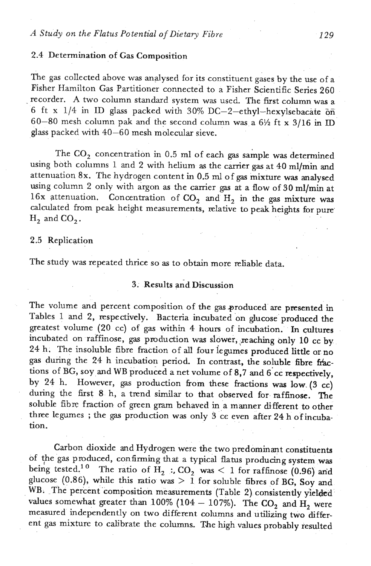# 2.4 Determination of Gas Composition

The gas collected above **was** andysed for its constituent gases by the use of a Fisher Hamilton **Gas** Partitioner connected to a Fisher Scientific Series 260 recorder. A two column standard system was used. The first column was a 6 ft x 114 in ID glass packed with 30% **DC-2-ethyl-hexylsebacate** *66*  60-80 mesh column pak **and** the second column was a **6%** ft x 3/16 in **ID**  glass packed with 40-60 mesh molecular sieve.

The C0, concentration in 0.5 ml of each gas sample **was** determined using both columns 1 and 2 with helium as the carrier gas at 40 ml/min and attenuation **8x.** The hydrogen content in 0.5 ml of gas mixture was analysed using column 2 only **with** argon as the camer gas at a flow of 30 ml/min at 16x attenuation. Concentration of  $CO<sub>2</sub>$  and  $H<sub>2</sub>$  in the gas mixture was calculated from peak height measurements, relative to peak heights for pure  $H<sub>2</sub>$  and  $CO<sub>2</sub>$ .

# 2.5 Replication

The study **was** repeated thrice so **as** to obtain more reliable data.

## 3. Results and Discussion

The volume and percent composition of the **gas** groduced are presented in Tables 1 and 2, respectively. Bacteria incubated on glucose' produced the greatest volume (20 cc) of **gas** within 4 hours of incubation. In cultures incubated on raffinose, gas production was slower, reaching only 10 cc by 24 h. The insoluble fibre fraction of all four legumes produced little or no gas during the 24 h incubation period. In contrast, the soluble fibre fractions of BG, soy and WB produced a net volume of 8,7 and 6'cc respectively, by 24 h. However, gas production fiom these fractions **was** low. (3 cc) during the first 8 h, a trend similar to that observed for raffinose. The soluble fibre fraction of green gram behaved in a manner different to other three legumes ; the gas production was only 3 cc even after 24 h of incubation.

Carbon dioxide and Hydrogen were the two predominant constituents of :he gas produced, confirming **that** a typical flatus producing system **was**  being tested.<sup>10</sup> The ratio of H<sub>2</sub> :  $CO_2$  was < 1 for raffinose (0.96) and glucose (0.86), while this ratio was  $> 1$  for soluble fibres of BG, Soy and WB. The percent composition measurements (Table 2) consistently yielded alues somewhat greater than 100% (104 - 107%). The CO<sub>2</sub> and H<sub>2</sub> were values somewhat greater than 100% (104 – 107%). The  $CO_2$  and  $H_2$  were measured independently on two different columns and utilizing two different gas mixture to calibrate the columns. The high values probably resulted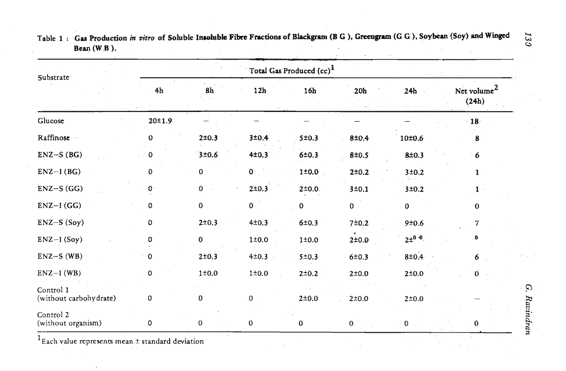| Substrate                           |                | Total Gas Produced (cc) <sup>1</sup> |                |             |              |              |                                  |         |
|-------------------------------------|----------------|--------------------------------------|----------------|-------------|--------------|--------------|----------------------------------|---------|
|                                     | 4h             | 8h                                   | 12h            | 16h         | $20h$        | 24h          | Net volume <sup>2</sup><br>(24h) |         |
| Glucose                             | 20±1.9         |                                      |                |             |              |              | $\cdot$ 18                       |         |
| Raffinose ··                        | 0              | 2±0.3                                | 3±0.4          | 5 ± 0.3     | 8±0.4        | 10±0.6       | 8                                |         |
| $ENZ-S(BG)$                         |                | 3±0.6                                | 4±0.3          | 6±0.3       | 8±0.5        | 8±0.3        | 6                                |         |
| $ENZ-I(BG)$                         | 0              | 0                                    | 0 <sup>1</sup> | $1\pm0.0$   | 2±0.2        | 3±0.2        | $\mathbf{1}$                     |         |
| $ENZ-S(GG)$                         | $\mathbf{0}$ . | $\mathbf{0}_{\perp}$                 | $2 \pm 0.3$    | 2±0.0.      | 3±0.1        | 3±0.2        |                                  |         |
| $ENZ-I(GG)$                         | 0              | $\pmb{0}$                            | 0 <sup>1</sup> | $\mathbf 0$ | 0            | 0            | $\bf{0}$                         |         |
| $ENZ-S(Soy)$                        | $\mathbf 0$    | 2±0.3                                | 4±0.3          | 6±0.3       | 7±0.2        | 9±0.6        | 7                                |         |
| $ENZ-I (Soy)$                       | 0              | $\mathbf 0$                          | $1\pm0.0$      | $1\pm0.0$   | $2\pm0.0$    | $2\pm^{0.0}$ | Đ                                |         |
| $ENZ-S$ (WB)                        | 0              | 2±0.3                                | 4±0.3          | 5 ± 0.3     | 6±0.3        | 8±0.4        | 6                                |         |
| $ENZ-1(WB)$                         | 0              | $1\pm0.0$                            | $1\pm0.0$      | $2\pm 0.2$  | $2\pm0.0$    | $2\pm0.0$    | $\mathbf{0}$                     |         |
| Control 1<br>(without carbohydrate) | 0              | $\mathbf{0}$                         | 0              | 2 ± 0.0     | $2\pm0.0$    | 2±0.0        |                                  | Ġ.      |
| Control 2<br>(without organism)     | 0              | $\pmb{0}$                            | 0              | 0           | $\mathbf{0}$ | 0            | 0                                | Ravind: |

Table 1: Gas Production in vitro of Soluble Insoluble Fibre Fractions of Blackgram (B G), Greengram (G G), Soybean (Soy) and Winged  $\frac{1}{\omega}$ **Bean (W B** ). **<sup>0</sup>**

 $^{1}$ Each value represents mean  $\pm$  standard deviation

. .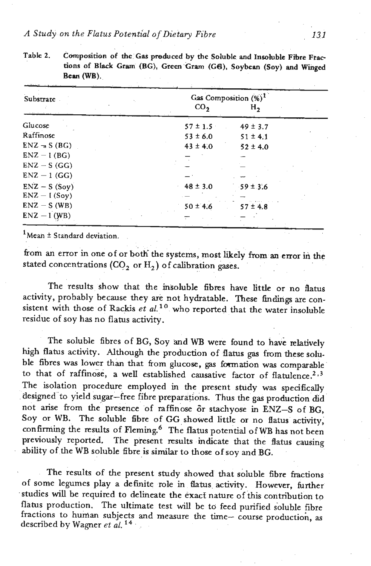| Substrate      |               | Gas Composition $(\%)^1$ |  |
|----------------|---------------|--------------------------|--|
|                | $\rm{co}_{2}$ | н,                       |  |
| Glucose        | $57 \pm 1.5$  | $49 \pm 3.7$             |  |
| Raffinose      | $53 \pm 6.0$  | $51 \pm 4.1$             |  |
| $ENZ = S(BG)$  | $43 \pm 4.0$  | $52 \pm 4.0$             |  |
| $ENZ - I(BG)$  |               |                          |  |
| $ENZ - S(GG)$  |               |                          |  |
| $ENZ - 1$ (GG) |               |                          |  |
| $ENZ - S(Soy)$ | $48 \pm 3.0$  | $59 \pm 3.6$             |  |
| $ENZ - I(Soy)$ |               |                          |  |
| $ENZ - S (WB)$ | $50 \pm 4.6$  | $57 \pm 4.8$             |  |
| $ENZ - I (WB)$ |               |                          |  |

**Table 2. Composition of the Gas pieduced by the Soluble and Insoluble Fibre Fractions of Bkk Gram (BG), Green Gram (GB), Soybean (Soy) and Winged Bean** (WB).

 $^{1}$ Mean  $\pm$  Standard deviation.

from an error in one of or both the systems, most likely from an error in the stated concentrations  $(CO_2 \text{ or } H_2)$  of calibration gases.

The results show that the msoluble fibres have little or no flatus activity, probably because they **ark** not hydratable. These findings are consistent with those of **Rackis** *et* al. **lo** who reported that the water insoluble residue of soy has no flatus activity.

The soluble fibres of BG, Soy **and WB** were found to have relatively high flatus activity. Although the production of flatus gas from these soluble fibres was lower than that from glucose, gas formation was comparable to that of raffinose, a well established causative factor of flatulence.<sup>2,3</sup> The isolation procedure employed in the present study was specifically designed to yield sugar-free fibre preparatrons. Thus the **gas** production did not arise from the presence of raffinose or stachyose in ENZ-S of BG, Soy or WB. The soluble fibre of GG showed little or no flatus activity, confirming the results of Fleming.<sup>6</sup> The flatus potential of WB has not been<br>previously reported. The present results indicate that the flatus causing The present results indicate that the flatus causing ability of the WB soluble fibre is similar to those of soy and BG.

The results of the present study showed that soluble fibre fractions of some legumes play a dehite role in **flatus activity.** However, further studies will be required to delineate the **exact** nature of **this** contribution to flatus production. The ultimate test will be to feed purified soluble fibre fractions to human subjects and measure the time- course production, as described by Wagner et *a1.* **l4**